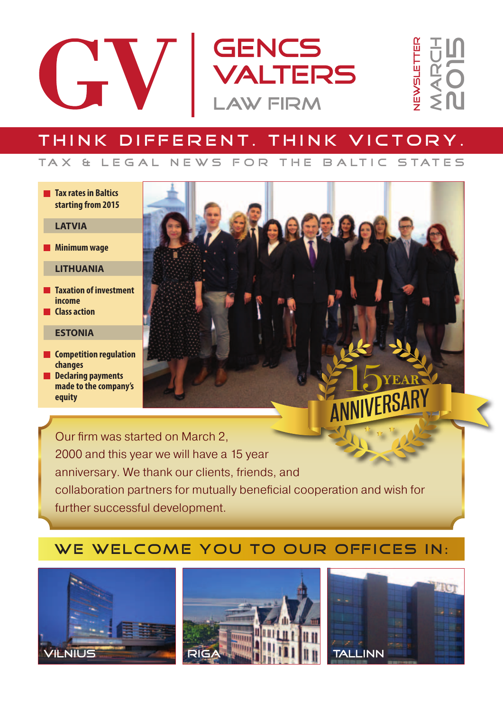

## Think different. Think victory.

#### **Tax rates in Baltics starting from 2015**

#### **LATVIA**

**Minimum wage** 

#### **LITHUANIA**

- **Taxation of investment income**
- **Class action**

#### **ESTONIA**

- **Competition regulation changes**
- **Declaring payments made to the company's equity**



## WE WELCOME YOU TO OUR OFFICES IN:





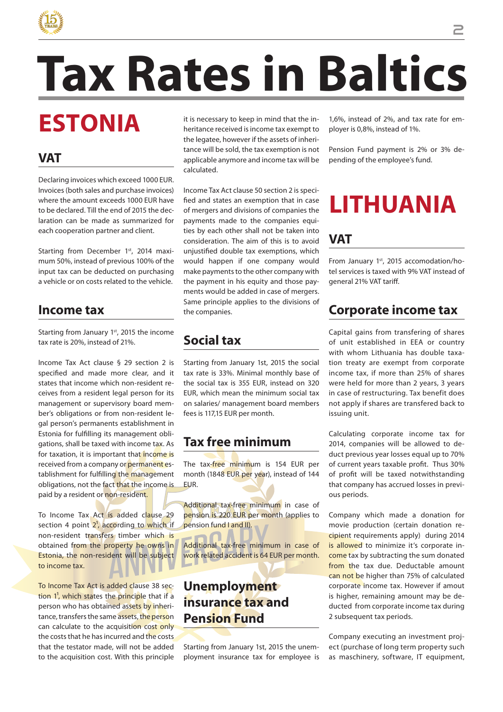

# **Tax Rates in Baltics**

# **Estonia**

#### **VAT**

Declaring invoices which exceed 1000 EUR. Invoices (both sales and purchase invoices) where the amount exceeds 1000 EUR have to be declared. Till the end of 2015 the declaration can be made as summarized for each cooperation partner and client.

Starting from December 1st, 2014 maximum 50%, instead of previous 100% of the input tax can be deducted on purchasing a vehicle or on costs related to the vehicle.

#### **Income tax**

Starting from January 1<sup>st</sup>, 2015 the income tax rate is 20%, instead of 21%.

Income Tax Act clause § 29 section 2 is specified and made more clear, and it states that income which non-resident receives from a resident legal person for its management or supervisory board member's obligations or from non-resident legal person's permanents establishment in Estonia for fulfilling its management obligations, shall be taxed with income tax. As for taxation, it is important that income is received from a company or permanent establishment for fulfilling the management obligations, not the fact that the income is paid by a resident or non-resident.

To Income Tax Act is added clause 29 section 4 point 2<sup>1</sup>, according to which if non-resident transfers timber which is obtained from the property he owns in Estonia, the non-resident will be subject to income tax.

To Income Tax Act is added clause 38 sec- $\frac{1}{2}$ , which states the principle that if a person who has obtained assets by inheritance, transfers the same assets, the person can calculate to the acquisition cost only the costs that he has incurred and the costs that the testator made, will not be added to the acquisition cost. With this principle

it is necessary to keep in mind that the inheritance received is income tax exempt to the legatee, however if the assets of inheritance will be sold, the tax exemption is not applicable anymore and income tax will be calculated.

Income Tax Act clause 50 section 2 is specified and states an exemption that in case of mergers and divisions of companies the payments made to the companies equities by each other shall not be taken into consideration. The aim of this is to avoid unjustified double tax exemptions, which would happen if one company would make payments to the other company with the payment in his equity and those payments would be added in case of mergers. Same principle applies to the divisions of the companies.

## **Social tax**

Starting from January 1st, 2015 the social tax rate is 33%. Minimal monthly base of the social tax is 355 EUR, instead on 320 EUR, which mean the minimum social tax on salaries/ management board members fees is 117,15 EUR per month.

### **Tax free minimum**

The tax-free minimum is 154 EUR per month (1848 EUR per year), instead of 144 **ELJR** 

Additional tax-free minimum in case of pension is 220 EUR per month (applies to pension fund I and II).

Additional tax-free minimum in case of work related accident is 64 EUR per month.

#### **Unemployment insurance tax and Pension Fund**

Starting from January 1st, 2015 the unemployment insurance tax for employee is 1,6%, instead of 2%, and tax rate for employer is 0,8%, instead of 1%.

Pension Fund payment is 2% or 3% depending of the employee's fund.

# **LITHUAnia**

#### **VAT**

From January 1st, 2015 accomodation/hotel services is taxed with 9% VAT instead of general 21% VAT tariff.

### **Corporate income tax**

Capital gains from transfering of shares of unit established in EEA or country with whom Lithuania has double taxation treaty are exempt from corporate income tax, if more than 25% of shares were held for more than 2 years, 3 years in case of restructuring. Tax benefit does not apply if shares are transfered back to issuing unit.

Calculating corporate income tax for 2014, companies will be allowed to deduct previous year losses equal up to 70% of current years taxable profit. Thus 30% of profit will be taxed notwithstanding that company has accrued losses in previous periods.

Company which made a donation for movie production (certain donation recipient requirements apply) during 2014 is allowed to minimize it's corporate income tax by subtracting the sum donated from the tax due. Deductable amount can not be higher than 75% of calculated corporate income tax. However if amout is higher, remaining amount may be deducted from corporate income tax during 2 subsequent tax periods.

Company executing an investment project (purchase of long term property such as maschinery, software, IT equipment,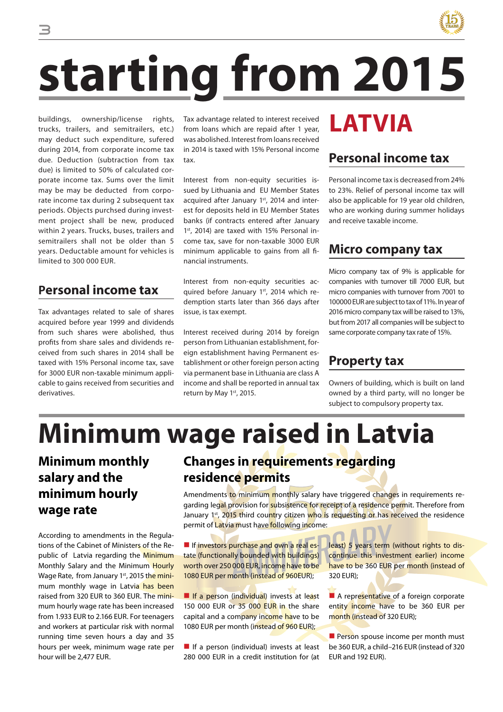

# **Starting from 2015**

buildings, ownership/license rights, trucks, trailers, and semitrailers, etc.) may deduct such expenditure, sufered during 2014, from corporate income tax due. Deduction (subtraction from tax due) is limited to 50% of calculated corporate income tax. Sums over the limit may be may be deducted from corporate income tax during 2 subsequent tax periods. Objects purchsed during investment project shall be new, produced within 2 years. Trucks, buses, trailers and semitrailers shall not be older than 5 years. Deductable amount for vehicles is limited to 300 000 EUR.

#### **Personal income tax**

Tax advantages related to sale of shares acquired before year 1999 and dividends from such shares were abolished, thus profits from share sales and dividends received from such shares in 2014 shall be taxed with 15% Personal income tax, save for 3000 EUR non-taxable minimum applicable to gains received from securities and derivatives.

Tax advantage related to interest received from loans which are repaid after 1 year, was abolished. Interest from loans received in 2014 is taxed with 15% Personal income tax.

Interest from non-equity securities issued by Lithuania and EU Member States acquired after January 1<sup>st</sup>, 2014 and interest for deposits held in EU Member States banks (if contracts entered after January 1st, 2014) are taxed with 15% Personal income tax, save for non-taxable 3000 EUR minimum applicable to gains from all financial instruments.

Interest from non-equity securities acquired before January 1st, 2014 which redemption starts later than 366 days after issue, is tax exempt.

Interest received during 2014 by foreign person from Lithuanian establishment, foreign establishment having Permanent establishment or other foreign person acting via permanent base in Lithuania are class A income and shall be reported in annual tax return by May 1st, 2015.

## **LATVia**

#### **Personal income tax**

Personal income tax is decreased from 24% to 23%. Relief of personal income tax will also be applicable for 19 year old children, who are working during summer holidays and receive taxable income.

#### **Micro company tax**

Micro company tax of 9% is applicable for companies with turnover till 7000 EUR, but micro companies with turnover from 7001 to 100000 EUR are subject to tax of 11%. In year of 2016 micro company tax will be raised to 13%, but from 2017 all companies will be subject to same corporate company tax rate of 15%.

#### **Property tax**

Owners of building, which is built on land owned by a third party, will no longer be subject to compulsory property tax.

# **Minimum wage raised in Latvia**

#### **Minimum monthly salary and the minimum hourly wage rate**

According to amendments in the Regulations of the Cabinet of Ministers of the Republic of Latvia regarding the Minimum Monthly Salary and the Minimum Hourly Wage Rate, from January 1<sup>st</sup>, 2015 the minimum monthly wage in Latvia has been raised from 320 EUR to 360 EUR. The minimum hourly wage rate has been increased from 1.933 EUR to 2.166 EUR. For teenagers and workers at particular risk with normal running time seven hours a day and 35 hours per week, minimum wage rate per hour will be 2,477 EUR.

### **Changes in requirements regarding residence permits**

Amendments to minimum monthly salary have triggered changes in requirements regarding legal provision for subsistence for receipt of a residence permit. Therefore from January 1st, 2015 third country citizen who is requesting or has received the residence permit of Latvia must have following income:

**If investors purchase and own a real es**tate (functionally bounded with buildings) worth over 250 000 EUR, income have to be 1080 EUR per month (instead of 960EUR);

If a person (individual) invests at least 150 000 EUR or 35 000 EUR in the share capital and a company income have to be 1080 EUR per month (instead of 960 EUR);

 $\blacksquare$  If a person (individual) invests at least 280 000 EUR in a credit institution for (at least) 5 years term (without rights to discontinue this investment earlier) income have to be 360 EUR per month (instead of 320 EUR);

A representative of a foreign corporate entity income have to be 360 EUR per month (instead of 320 EUR);

**Person spouse income per month must** be 360 EUR, a child–216 EUR (instead of 320 EUR and 192 EUR).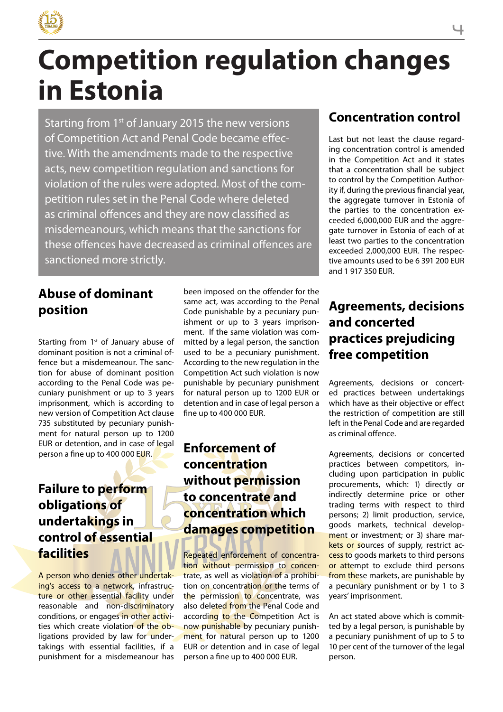

# **Competition regulation changes in Estonia**

Starting from 1st of January 2015 the new versions of Competition Act and Penal Code became effective. With the amendments made to the respective acts, new competition regulation and sanctions for violation of the rules were adopted. Most of the competition rules set in the Penal Code where deleted as criminal offences and they are now classified as misdemeanours, which means that the sanctions for these offences have decreased as criminal offences are sanctioned more strictly.

#### **Abuse of dominant position**

Starting from 1<sup>st</sup> of January abuse of dominant position is not a criminal offence but a misdemeanour. The sanction for abuse of dominant position according to the Penal Code was pecuniary punishment or up to 3 years imprisonment, which is according to new version of Competition Act clause 735 substituted by pecuniary punishment for natural person up to 1200 EUR or detention, and in case of legal person a fine up to 400 000 EUR.

#### **Failure to perform obligations of undertakings in control of essential facilities**

A person who denies other undertaking's access to a network, infrastructure or other essential facility under reasonable and non-discriminatory conditions, or engages in other activities which create violation of the obligations provided by law for undertakings with essential facilities, if a punishment for a misdemeanour has been imposed on the offender for the same act, was according to the Penal Code punishable by a pecuniary punishment or up to 3 years imprisonment. If the same violation was committed by a legal person, the sanction used to be a pecuniary punishment. According to the new regulation in the Competition Act such violation is now punishable by pecuniary punishment for natural person up to 1200 EUR or detention and in case of legal person a fine up to 400 000 EUR.

#### **Enforcement of concentration without permission to concentrate and concentration which damages competition**

Repeated enforcement of concentration without permission to concentrate, as well as violation of a prohibition on concentration or the terms of the permission to concentrate, was also deleted from the Penal Code and according to the Competition Act is now punishable by pecuniary punishment for natural person up to 1200 EUR or detention and in case of legal person a fine up to 400 000 EUR.

#### **Concentration control**

Last but not least the clause regarding concentration control is amended in the Competition Act and it states that a concentration shall be subject to control by the Competition Authority if, during the previous financial year, the aggregate turnover in Estonia of the parties to the concentration exceeded 6,000,000 EUR and the aggregate turnover in Estonia of each of at least two parties to the concentration exceeded 2,000,000 EUR. The respective amounts used to be 6 391 200 EUR and 1 917 350 EUR.

#### **Agreements, decisions and concerted practices prejudicing free competition**

Agreements, decisions or concerted practices between undertakings which have as their objective or effect the restriction of competition are still left in the Penal Code and are regarded as criminal offence.

Agreements, decisions or concerted practices between competitors, including upon participation in public procurements, which: 1) directly or indirectly determine price or other trading terms with respect to third persons; 2) limit production, service, goods markets, technical development or investment; or 3) share markets or sources of supply, restrict access to goods markets to third persons or attempt to exclude third persons from these markets, are punishable by a pecuniary punishment or by 1 to 3 years' imprisonment.

An act stated above which is committed by a legal person, is punishable by a pecuniary punishment of up to 5 to 10 per cent of the turnover of the legal person.

#### 4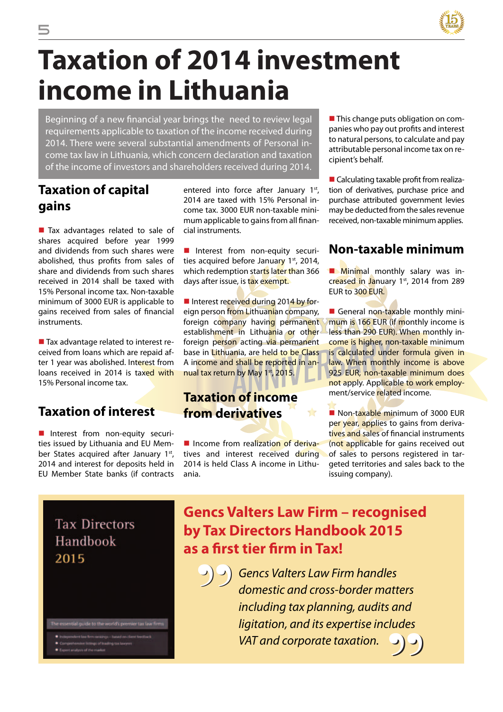

# **Taxation of 2014 investment income in Lithuania**

Beginning of a new financial year brings the need to review legal requirements applicable to taxation of the income received during 2014. There were several substantial amendments of Personal income tax law in Lithuania, which concern declaration and taxation of the income of investors and shareholders received during 2014.

#### **Taxation of capital gains**

Tax advantages related to sale of shares acquired before year 1999 and dividends from such shares were abolished, thus profits from sales of share and dividends from such shares received in 2014 shall be taxed with 15% Personal income tax. Non-taxable minimum of 3000 EUR is applicable to gains received from sales of financial instruments.

■ Tax advantage related to interest received from loans which are repaid after 1 year was abolished. Interest from loans received in 2014 is taxed with 15% Personal income tax.

#### **Taxation of interest**

I Interest from non-equity securities issued by Lithuania and EU Member States acquired after January 1st, 2014 and interest for deposits held in EU Member State banks (if contracts

entered into force after January  $1<sup>st</sup>$ , 2014 are taxed with 15% Personal income tax. 3000 EUR non-taxable minimum applicable to gains from all financial instruments.

Interest from non-equity securities acquired before January  $1<sup>st</sup>$ , 2014, which redemption starts later than 366 days after issue, is tax exempt.

Interest received during 2014 by foreign person from Lithuanian company, foreign company having permanent establishment in Lithuania or other foreign person acting via permanent base in Lithuania, are held to be Class A income and shall be reported in annual tax return by May 1st, 2015.

#### **Taxation of income from derivatives**

I Income from realization of derivatives and interest received during 2014 is held Class A income in Lithuania.

**This change puts obligation on com**panies who pay out profits and interest to natural persons, to calculate and pay attributable personal income tax on recipient's behalf.

■ Calculating taxable profit from realization of derivatives, purchase price and purchase attributed government levies may be deducted from the sales revenue received, non-taxable minimum applies.

#### **Non-taxable minimum**

**Minimal monthly salary was in**creased in January 1st, 2014 from 289 EUR to 300 EUR.

General non-taxable monthly minimum is 166 EUR (if monthly income is less than 290 EUR). When monthly income is higher, non-taxable minimum is calculated under formula given in law. When monthly income is above 925 EUR, non-taxable minimum does not apply. Applicable to work employment/service related income.

Non-taxable minimum of 3000 FUR per year, applies to gains from derivatives and sales of financial instruments (not applicable for gains received out of sales to persons registered in targeted territories and sales back to the issuing company).

**Tax Directors** Handbook 2015



### **Gencs Valters Law Firm – recognised by Tax Directors Handbook 2015 as a first tier firm in Tax!**

 $\blacktriangle$ 

- **"**
	- *Gencs Valters Law Firm handles domestic and cross-border matters including tax planning, audits and ligitation, and its expertise includes VAT and corporate taxation.* **"**

5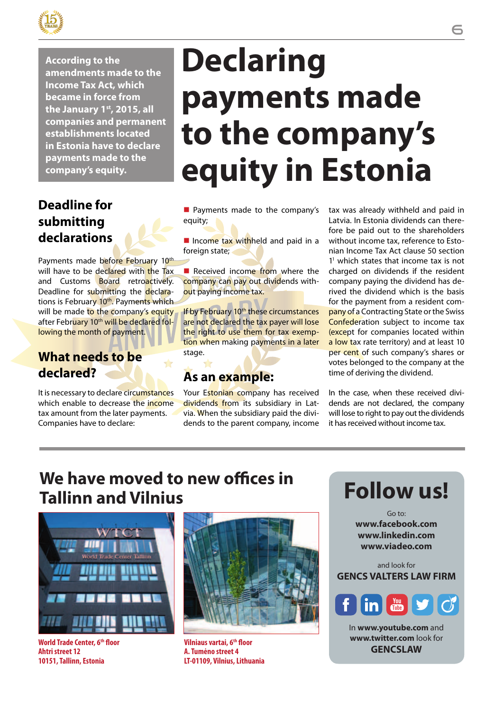

**According to the amendments made to the Income Tax Act, which became in force from the January 1st, 2015, all companies and permanent establishments located in Estonia have to declare payments made to the company's equity.**

#### **Deadline for submitting declarations**

Payments made before February 10<sup>th</sup> will have to be declared with the Tax and Customs Board retroactively. Deadline for submitting the declarations is February 10<sup>th</sup>. Payments which will be made to the company's equity after February 10<sup>th</sup> will be declared following the month of payment.

#### **What needs to be declared?**

It is necessary to declare circumstances which enable to decrease the income tax amount from the later payments. Companies have to declare:

# **Declaring payments made to the company's equity in Estonia**

**Payments made to the company's** equity;

Income tax withheld and paid in a foreign state;

 $\blacksquare$  Received income from where the company can pay out dividends without paying income tax.

If by February 10<sup>th</sup> these circumstances are not declared the tax payer will lose the right to use them for tax exemption when making payments in a later stage.

#### **As an example:**

Your Estonian company has received dividends from its subsidiary in Latvia. When the subsidiary paid the dividends to the parent company, income tax was already withheld and paid in Latvia. In Estonia dividends can therefore be paid out to the shareholders without income tax, reference to Estonian Income Tax Act clause 50 section 11 which states that income tax is not charged on dividends if the resident company paying the dividend has derived the dividend which is the basis for the payment from a resident company of a Contracting State or the Swiss Confederation subject to income tax (except for companies located within a low tax rate territory) and at least 10 per cent of such company's shares or votes belonged to the company at the time of deriving the dividend.

In the case, when these received dividends are not declared, the company will lose to right to pay out the dividends it has received without income tax.

## **We have moved to new offices in Tallinn and Vilnius**



**World Trade Center, 6th floor Ahtri street 12 10151, Tallinn, Estonia**



**Vilniaus vartai, 6th floor A. Tumėno street 4 LT-01109, Vilnius, Lithuania**



Go to: **www.facebook.com www.linkedin.com www.viadeo.com**

and look for **GENCS VALTERS LAW FIRM**



In **www.youtube.com** and **www.twitter.com** look for **GENCSLAW**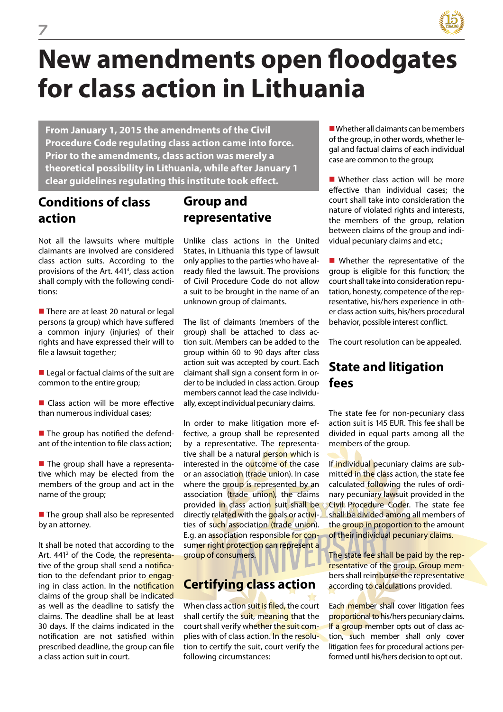

# **New amendments open floodgates for class action in Lithuania**

**From January 1, 2015 the amendments of the Civil Procedure Code regulating class action came into force. Prior to the amendments, class action was merely a theoretical possibility in Lithuania, while after January 1 clear guidelines regulating this institute took effect.**

#### **Conditions of class action**

Not all the lawsuits where multiple claimants are involved are considered class action suits. According to the provisions of the Art. 441<sup>3</sup>, class action shall comply with the following conditions:

There are at least 20 natural or legal persons (a group) which have suffered a common injury (injuries) of their rights and have expressed their will to file a lawsuit together;

Legal or factual claims of the suit are common to the entire group;

Class action will be more effective than numerous individual cases;

■ The group has notified the defendant of the intention to file class action;

■ The group shall have a representative which may be elected from the members of the group and act in the name of the group;

■ The group shall also be represented by an attorney.

It shall be noted that according to the Art. 441<sup>2</sup> of the Code, the representative of the group shall send a notification to the defendant prior to engaging in class action. In the notification claims of the group shall be indicated as well as the deadline to satisfy the claims. The deadline shall be at least 30 days. If the claims indicated in the notification are not satisfied within prescribed deadline, the group can file a class action suit in court.

#### **Group and representative**

Unlike class actions in the United States, in Lithuania this type of lawsuit only applies to the parties who have already filed the lawsuit. The provisions of Civil Procedure Code do not allow a suit to be brought in the name of an unknown group of claimants.

The list of claimants (members of the group) shall be attached to class action suit. Members can be added to the group within 60 to 90 days after class action suit was accepted by court. Each claimant shall sign a consent form in order to be included in class action. Group members cannot lead the case individually, except individual pecuniary claims.

In order to make litigation more effective, a group shall be represented by a representative. The representative shall be a natural person which is interested in the outcome of the case or an association (trade union). In case where the group is represented by an association (trade union), the claims provided in class action suit shall be directly related with the goals or activities of such association (trade union). E.g. an association responsible for consumer right protection can represent a group of consumers.

#### **Certifying class action**

When class action suit is filed, the court shall certify the suit, meaning that the court shall verify whether the suit complies with of class action. In the resolution to certify the suit, court verify the following circumstances:

Whether all claimants can be members of the group, in other words, whether legal and factual claims of each individual case are common to the group;

Whether class action will be more effective than individual cases; the court shall take into consideration the nature of violated rights and interests, the members of the group, relation between claims of the group and individual pecuniary claims and etc.;

**N** Whether the representative of the group is eligible for this function; the court shall take into consideration reputation, honesty, competence of the representative, his/hers experience in other class action suits, his/hers procedural behavior, possible interest conflict.

The court resolution can be appealed.

#### **State and litigation fees**

The state fee for non-pecuniary class action suit is 145 EUR. This fee shall be divided in equal parts among all the members of the group.

If individual pecuniary claims are submitted in the class action, the state fee calculated following the rules of ordinary pecuniary lawsuit provided in the Civil Procedure Coder. The state fee shall be divided among all members of the group in proportion to the amount of their individual pecuniary claims.

The state fee shall be paid by the representative of the group. Group members shall reimburse the representative according to calculations provided.

Each member shall cover litigation fees proportional to his/hers pecuniary claims. If a group member opts out of class action, such member shall only cover litigation fees for procedural actions performed until his/hers decision to opt out.